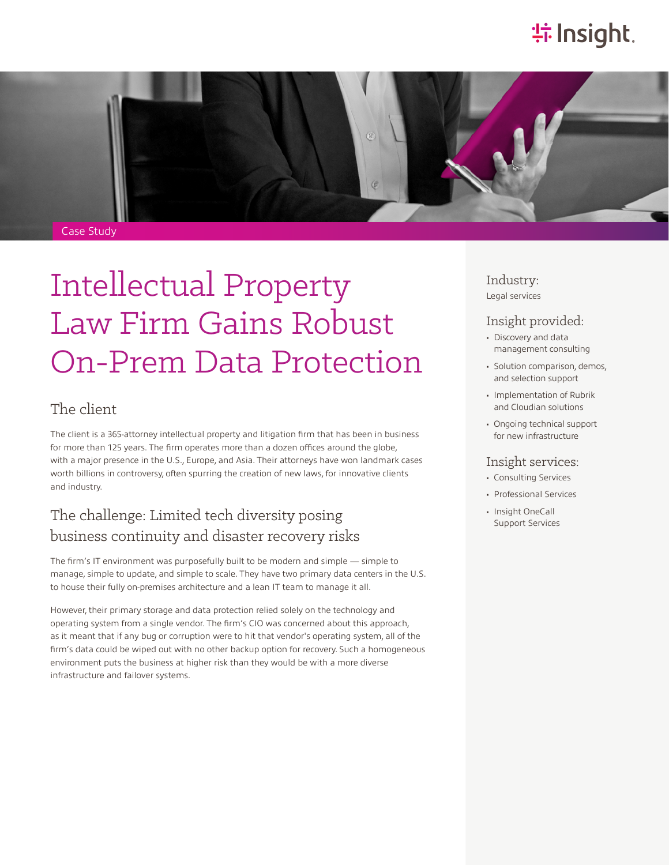# **特Insight**.



# Intellectual Property Law Firm Gains Robust On-Prem Data Protection

#### The client

The client is a 365-attorney intellectual property and litigation firm that has been in business for more than 125 years. The firm operates more than a dozen offices around the globe, with a major presence in the U.S., Europe, and Asia. Their attorneys have won landmark cases worth billions in controversy, often spurring the creation of new laws, for innovative clients and industry.

## The challenge: Limited tech diversity posing business continuity and disaster recovery risks

The firm's IT environment was purposefully built to be modern and simple — simple to manage, simple to update, and simple to scale. They have two primary data centers in the U.S. to house their fully on-premises architecture and a lean IT team to manage it all.

However, their primary storage and data protection relied solely on the technology and operating system from a single vendor. The firm's CIO was concerned about this approach, as it meant that if any bug or corruption were to hit that vendor's operating system, all of the firm's data could be wiped out with no other backup option for recovery. Such a homogeneous environment puts the business at higher risk than they would be with a more diverse infrastructure and failover systems.

Industry: Legal services

#### Insight provided:

- Discovery and data management consulting
- Solution comparison, demos, and selection support
- Implementation of Rubrik and Cloudian solutions
- Ongoing technical support for new infrastructure

#### Insight services:

- Consulting Services
- Professional Services
- Insight OneCall Support Services